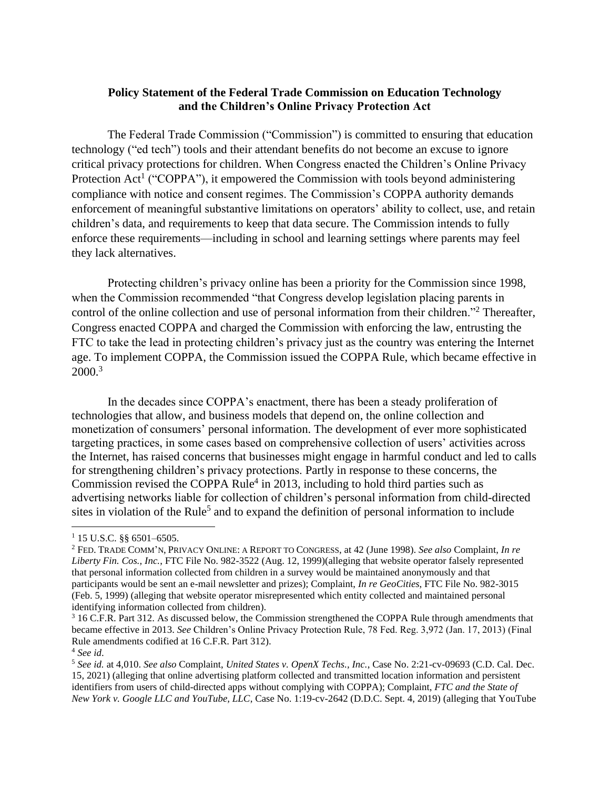## **Policy Statement of the Federal Trade Commission on Education Technology and the Children's Online Privacy Protection Act**

The Federal Trade Commission ("Commission") is committed to ensuring that education technology ("ed tech") tools and their attendant benefits do not become an excuse to ignore critical privacy protections for children. When Congress enacted the Children's Online Privacy Protection Act<sup>1</sup> ("COPPA"), it empowered the Commission with tools beyond administering compliance with notice and consent regimes. The Commission's COPPA authority demands enforcement of meaningful substantive limitations on operators' ability to collect, use, and retain children's data, and requirements to keep that data secure. The Commission intends to fully enforce these requirements—including in school and learning settings where parents may feel they lack alternatives.

Protecting children's privacy online has been a priority for the Commission since 1998, when the Commission recommended "that Congress develop legislation placing parents in control of the online collection and use of personal information from their children."2 Thereafter, Congress enacted COPPA and charged the Commission with enforcing the law, entrusting the FTC to take the lead in protecting children's privacy just as the country was entering the Internet age. To implement COPPA, the Commission issued the COPPA Rule, which became effective in  $2000.<sup>3</sup>$ 

In the decades since COPPA's enactment, there has been a steady proliferation of technologies that allow, and business models that depend on, the online collection and monetization of consumers' personal information. The development of ever more sophisticated targeting practices, in some cases based on comprehensive collection of users' activities across the Internet, has raised concerns that businesses might engage in harmful conduct and led to calls for strengthening children's privacy protections. Partly in response to these concerns, the Commission revised the COPPA Rule<sup>4</sup> in 2013, including to hold third parties such as advertising networks liable for collection of children's personal information from child-directed sites in violation of the Rule<sup>5</sup> and to expand the definition of personal information to include

 $1$  15 U.S.C. §§ 6501-6505.

 *Liberty Fin. Cos., Inc.*, FTC File No. 982-3522 (Aug. 12, 1999)(alleging that website operator falsely represented that personal information collected from children in a survey would be maintained anonymously and that participants would be sent an e-mail newsletter and prizes); Complaint, *In re GeoCities*, FTC File No. 982-3015 (Feb. 5, 1999) (alleging that website operator misrepresented which entity collected and maintained personal identifying information collected from children). 1 15 U.S.C. §§ 6501–6505. 2 FED. TRADE COMM'N, PRIVACY ONLINE: A REPORT TO CONGRESS, at 42 (June 1998). *See also* Complaint, *In re* 

identifying information collected from children).<br><sup>3</sup> 16 C.F.R. Part 312. As discussed below, the Commission strengthened the COPPA Rule through amendments that became effective in 2013. *See* Children's Online Privacy Protection Rule, 78 Fed. Reg. 3,972 (Jan. 17, 2013) (Final Rule amendments codified at 16 C.F.R. Part 312). Rule amendments codified at 16 C.F.R. Part 312).<br><sup>4</sup> *See id.*<br><sup>5</sup> *See id.* at 4,010. *See also* Complaint, *United States v. OpenX Techs., Inc.*, Case No. 2:21-cv-09693 (C.D. Cal. Dec.

 15, 2021) (alleging that online advertising platform collected and transmitted location information and persistent identifiers from users of child-directed apps without complying with COPPA); Complaint, *FTC and the State of New York v. Google LLC and YouTube, LLC*, Case No. 1:19-cv-2642 (D.D.C. Sept. 4, 2019) (alleging that YouTube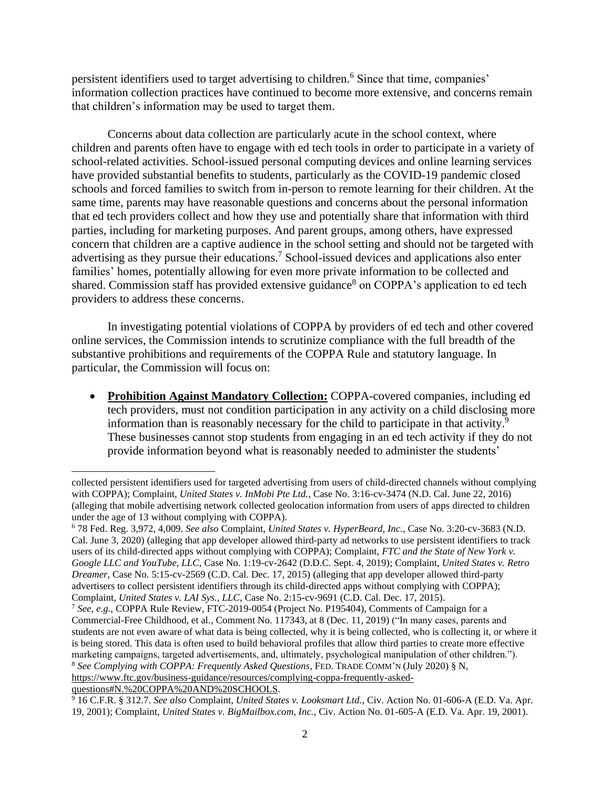persistent identifiers used to target advertising to children. 6 Since that time, companies' information collection practices have continued to become more extensive, and concerns remain that children's information may be used to target them.

 concern that children are a captive audience in the school setting and should not be targeted with Concerns about data collection are particularly acute in the school context, where children and parents often have to engage with ed tech tools in order to participate in a variety of school-related activities. School-issued personal computing devices and online learning services have provided substantial benefits to students, particularly as the COVID-19 pandemic closed schools and forced families to switch from in-person to remote learning for their children. At the same time, parents may have reasonable questions and concerns about the personal information that ed tech providers collect and how they use and potentially share that information with third parties, including for marketing purposes. And parent groups, among others, have expressed advertising as they pursue their educations.<sup>7</sup> School-issued devices and applications also enter families' homes, potentially allowing for even more private information to be collected and shared. Commission staff has provided extensive guidance<sup>8</sup> on COPPA's application to ed tech providers to address these concerns.

In investigating potential violations of COPPA by providers of ed tech and other covered online services, the Commission intends to scrutinize compliance with the full breadth of the substantive prohibitions and requirements of the COPPA Rule and statutory language. In particular, the Commission will focus on:

• **Prohibition Against Mandatory Collection:** COPPA-covered companies, including ed tech providers, must not condition participation in any activity on a child disclosing more information than is reasonably necessary for the child to participate in that activity. 9 These businesses cannot stop students from engaging in an ed tech activity if they do not provide information beyond what is reasonably needed to administer the students'

 collected persistent identifiers used for targeted advertising from users of child-directed channels without complying with COPPA); Complaint, *United States v. InMobi Pte Ltd.*, Case No. 3:16-cv-3474 (N.D. Cal. June 22, 2016) (alleging that mobile advertising network collected geolocation information from users of apps directed to children under the age of 13 without complying with COPPA).

under the age of 13 without complying with COPPA).<br><sup>6</sup> 78 Fed. Reg. 3,972, 4,009. *See also* Complaint, *United States v. HyperBeard, Inc.*, Case No. 3:20-cv-3683 (N.D. Cal. June 3, 2020) (alleging that app developer allowed third-party ad networks to use persistent identifiers to track users of its child-directed apps without complying with COPPA); Complaint, *FTC and the State of New York v. Google LLC and YouTube, LLC*, Case No. 1:19-cv-2642 (D.D.C. Sept. 4, 2019); Complaint, *United States v. Retro Dreamer*, Case No. 5:15-cv-2569 (C.D. Cal. Dec. 17, 2015) (alleging that app developer allowed third-party advertisers to collect persistent identifiers through its child-directed apps without complying with COPPA); Complaint, *United States v. LAI Sys., LLC*, Case No. 2:15-cv-9691 (C.D. Cal. Dec. 17, 2015).

Complaint, *United States v. LAI Sys., LLC*, Case No. 2:15-cv-9691 (C.D. Cal. Dec. 17, 2015).<br><sup>7</sup> *See, e.g.*, COPPA Rule Review, FTC-2019-0054 (Project No. P195404), Comments of Campaign for a Commercial-Free Childhood, et al., Comment No. 117343, at 8 (Dec. 11, 2019) ("In many cases, parents and students are not even aware of what data is being collected, why it is being collected, who is collecting it, or where it is being stored. This data is often used to build behavioral profiles that allow third parties to create more effective marketing campaigns, targeted advertisements, and, ultimately, psychological manipulation of other children.").  <sup>8</sup>*See Complying with COPPA: Frequently Asked Questions*, FED. TRADE COMM'N (July 2020) § N, [https://www.ftc.gov/business-guidance/resources/complying-coppa-frequently-asked-](https://www.ftc.gov/business-guidance/resources/complying-coppa-frequently-asked-questions#N.%20COPPA%20AND%20SCHOOLS)

[questions#N.%20COPPA%20AND%20SCHOOLS.](https://www.ftc.gov/business-guidance/resources/complying-coppa-frequently-asked-questions#N.%20COPPA%20AND%20SCHOOLS)<br><sup>9</sup> 16 C.F.R. § 312.7. *See also Complaint, United States v. Looksmart Ltd.*, Civ. Action No. 01-606-A (E.D. Va. Apr.  19, 2001); Complaint, *United States v. [BigMailbox.com,](https://BigMailbox.com) Inc.*, Civ. Action No. 01-605-A (E.D. Va. Apr. 19, 2001).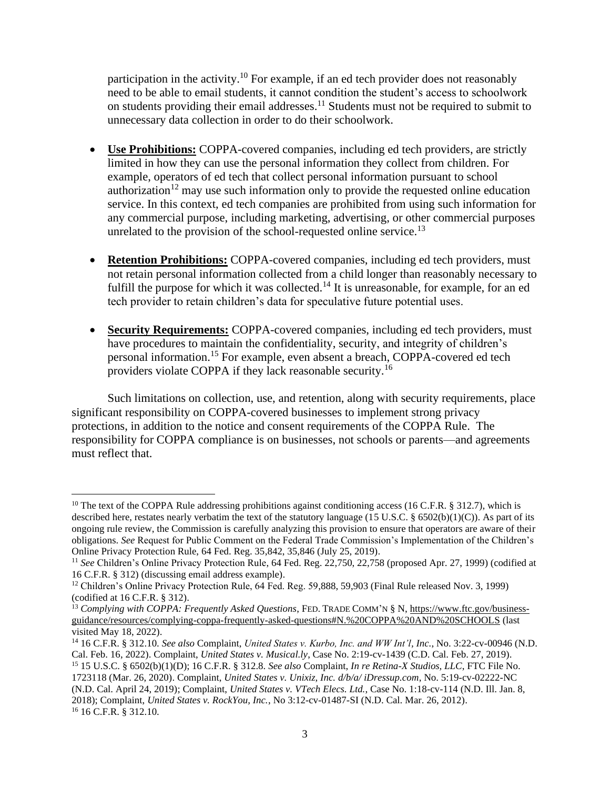participation in the [activity.](https://activity.10)<sup>10</sup> For example, if an ed tech provider does not reasonably need to be able to email students, it cannot condition the student's access to schoolwork on students providing their email [addresses.](https://addresses.11)<sup>11</sup> Students must not be required to submit to unnecessary data collection in order to do their schoolwork.

- **Use Prohibitions:** COPPA-covered companies, including ed tech providers, are strictly limited in how they can use the personal information they collect from children. For example, operators of ed tech that collect personal information pursuant to school authorization<sup>12</sup> may use such information only to provide the requested online education service. In this context, ed tech companies are prohibited from using such information for any commercial purpose, including marketing, advertising, or other commercial purposes unrelated to the provision of the school-requested online [service.](https://service.13)<sup>13</sup>
- **Retention Prohibitions:** COPPA-covered companies, including ed tech providers, must not retain personal information collected from a child longer than reasonably necessary to fulfill the purpose for which it was [collected.](https://collected.14)<sup>14</sup> It is unreasonable, for example, for an ed tech provider to retain children's data for speculative future potential uses.
- **Security Requirements:** COPPA-covered companies, including ed tech providers, must have procedures to maintain the confidentiality, security, and integrity of children's personal [information.](https://information.15)15 For example, even absent a breach, COPPA-covered ed tech providers violate COPPA if they lack reasonable [security.](https://security.16)<sup>16</sup>

Such limitations on collection, use, and retention, along with security requirements, place significant responsibility on COPPA-covered businesses to implement strong privacy protections, in addition to the notice and consent requirements of the COPPA Rule. The responsibility for COPPA compliance is on businesses, not schools or parents—and agreements must reflect that.

<sup>&</sup>lt;sup>10</sup> The text of the COPPA Rule addressing prohibitions against conditioning access (16 C.F.R. § 312.7), which is described here, restates nearly verbatim the text of the statutory language (15 U.S.C. § 6502(b)(1)(C)). As part of its ongoing rule review, the Commission is carefully analyzing this provision to ensure that operators are aware of their obligations. *See* Request for Public Comment on the Federal Trade Commission's Implementation of the Children's Online Privacy Protection Rule, 64 Fed. Reg. 35,842, 35,846 (July 25, 2019).

 Online Privacy Protection Rule, 64 Fed. Reg. 35,842, 35,846 (July 25, 2019). 11 *See* Children's Online Privacy Protection Rule, 64 Fed. Reg. 22,750, 22,758 (proposed Apr. 27, 1999) (codified at 16 C.F.R. § 312) (discussing email address example).

<sup>16</sup> C.F.R. § 312) (discussing email address example).<br><sup>12</sup> Children's Online Privacy Protection Rule, 64 Fed. Reg. 59,888, 59,903 (Final Rule released Nov. 3, 1999) (codified at 16 C.F.R. § 312). (codified at 16 C.F.R. § 312).<br><sup>13</sup> *Complying with COPPA: Frequently Asked Questions*, FED. TRADE COMM'N § N, <u>https://www.ftc.gov/business-</u>

visited May 18, 2022). [guidance/resources/complying-coppa-frequently-asked-questions#N.%20COPPA%20AND%20SCHOOLS](https://www.ftc.gov/business-guidance/resources/complying-coppa-frequently-asked-questions#N.%20COPPA%20AND%20SCHOOLS) (last

 visited May 18, 2022). 14 16 C.F.R. § 312.10. *See also* Complaint, *United States v. Kurbo, Inc. and WW Int'l, Inc.*, No. 3:22-cv-00946 (N.D. Cal. Feb. 16, 2022). Complaint, *United States v. Musical.ly*, Case No. 2:19-cv-1439 (C.D. Cal. Feb. 27, 2019).

Cal. Feb. 16, 2022). Complaint, *United States v. Musical.ly*, Case No. 2:19-cv-1439 (C.D. Cal. Feb. 27, 2019).<br><sup>15</sup> 15 U.S.C. § 6502(b)(1)(D); 16 C.F.R. § 312.8. *See also* Complaint, *In re Retina-X Studios, LLC*, FTC Fi 1723118 (Mar. 26, 2020). Complaint, *United States v. Unixiz, Inc. d/b/a/ [iDressup.com](https://iDressup.com)*, No. 5:19-cv-02222-NC (N.D. Cal. April 24, 2019); Complaint, *United States v. VTech Elecs. Ltd.*, Case No. 1:18-cv-114 (N.D. Ill. Jan. 8,  2018); Complaint, *United States v. RockYou, Inc.*, No 3:12-cv-01487-SI (N.D. Cal. Mar. 26, 2012). 16 16 C.F.R. § 312.10.